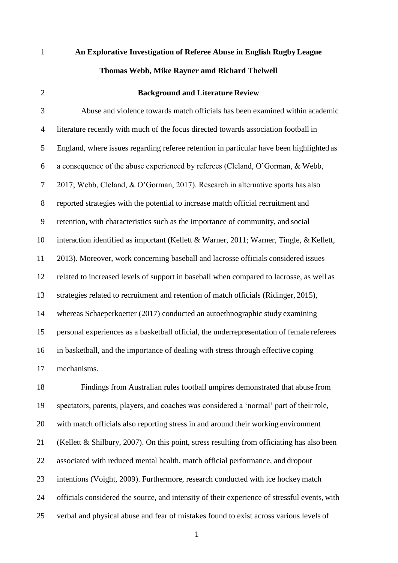| $\mathbf{1}$   | An Explorative Investigation of Referee Abuse in English Rugby League                      |
|----------------|--------------------------------------------------------------------------------------------|
|                | Thomas Webb, Mike Rayner amd Richard Thelwell                                              |
| $\mathfrak{2}$ | <b>Background and Literature Review</b>                                                    |
| 3              | Abuse and violence towards match officials has been examined within academic               |
| 4              | literature recently with much of the focus directed towards association football in        |
| 5              | England, where issues regarding referee retention in particular have been highlighted as   |
| 6              | a consequence of the abuse experienced by referees (Cleland, O'Gorman, & Webb,             |
| 7              | 2017; Webb, Cleland, & O'Gorman, 2017). Research in alternative sports has also            |
| $8\,$          | reported strategies with the potential to increase match official recruitment and          |
| 9              | retention, with characteristics such as the importance of community, and social            |
| 10             | interaction identified as important (Kellett & Warner, 2011; Warner, Tingle, & Kellett,    |
| 11             | 2013). Moreover, work concerning baseball and lacrosse officials considered issues         |
| 12             | related to increased levels of support in baseball when compared to lacrosse, as well as   |
| 13             | strategies related to recruitment and retention of match officials (Ridinger, 2015),       |
| 14             | whereas Schaeperkoetter (2017) conducted an autoethnographic study examining               |
| 15             | personal experiences as a basketball official, the underrepresentation of female referees  |
| 16             | in basketball, and the importance of dealing with stress through effective coping          |
| 17             | mechanisms.                                                                                |
| 18             | Findings from Australian rules football umpires demonstrated that abuse from               |
| 19             | spectators, parents, players, and coaches was considered a 'normal' part of their role,    |
| 20             | with match officials also reporting stress in and around their working environment         |
| 21             | (Kellett & Shilbury, 2007). On this point, stress resulting from officiating has also been |

- associated with reduced mental health, match official performance, and dropout
- intentions (Voight, 2009). Furthermore, research conducted with ice hockey match
- officials considered the source, and intensity of their experience of stressful events, with
- verbal and physical abuse and fear of mistakes found to exist across various levels of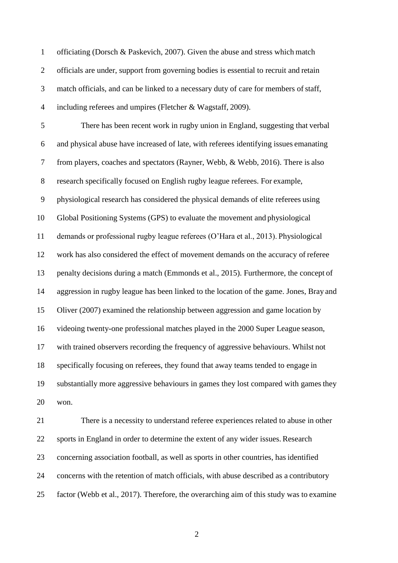officiating (Dorsch & Paskevich, 2007). Given the abuse and stress which match officials are under, support from governing bodies is essential to recruit and retain 3 match officials, and can be linked to a necessary duty of care for members of staff, including referees and umpires (Fletcher & Wagstaff, 2009). There has been recent work in rugby union in England, suggesting that verbal and physical abuse have increased of late, with referees identifying issues emanating from players, coaches and spectators (Rayner, Webb, & Webb, 2016). There is also research specifically focused on English rugby league referees. For example, physiological research has considered the physical demands of elite referees using Global Positioning Systems (GPS) to evaluate the movement and physiological demands or professional rugby league referees (O'Hara et al., 2013). Physiological work has also considered the effect of movement demands on the accuracy of referee penalty decisions during a match (Emmonds et al., 2015). Furthermore, the concept of aggression in rugby league has been linked to the location of the game. Jones, Bray and Oliver (2007) examined the relationship between aggression and game location by videoing twenty-one professional matches played in the 2000 Super League season, with trained observers recording the frequency of aggressive behaviours. Whilst not specifically focusing on referees, they found that away teams tended to engage in substantially more aggressive behaviours in games they lost compared with gamesthey won. There is a necessity to understand referee experiences related to abuse in other

 sports in England in order to determine the extent of any wider issues. Research concerning association football, as well as sports in other countries, has identified concerns with the retention of match officials, with abuse described as a contributory factor (Webb et al., 2017). Therefore, the overarching aim of this study was to examine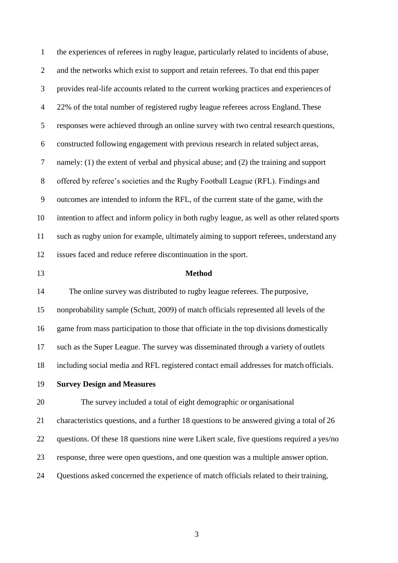the experiences of referees in rugby league, particularly related to incidents of abuse, and the networks which exist to support and retain referees. To that end this paper provides real-life accounts related to the current working practices and experiences of 22% of the total number of registered rugby league referees across England. These responses were achieved through an online survey with two central research questions, constructed following engagement with previous research in related subject areas, namely: (1) the extent of verbal and physical abuse; and (2) the training and support offered by referee's societies and the Rugby Football League (RFL). Findings and outcomes are intended to inform the RFL, of the current state of the game, with the intention to affect and inform policy in both rugby league, as well as other related sports such as rugby union for example, ultimately aiming to support referees, understand any issues faced and reduce referee discontinuation in the sport. **Method** The online survey was distributed to rugby league referees. The purposive, nonprobability sample (Schutt, 2009) of match officials represented all levels of the game from mass participation to those that officiate in the top divisions domestically such as the Super League. The survey was disseminated through a variety of outlets including social media and RFL registered contact email addresses for match officials. **Survey Design and Measures** The survey included a total of eight demographic or organisational characteristics questions, and a further 18 questions to be answered giving a total of 26 questions. Of these 18 questions nine were Likert scale, five questions required a yes/no response, three were open questions, and one question was a multiple answer option. Questions asked concerned the experience of match officials related to their training,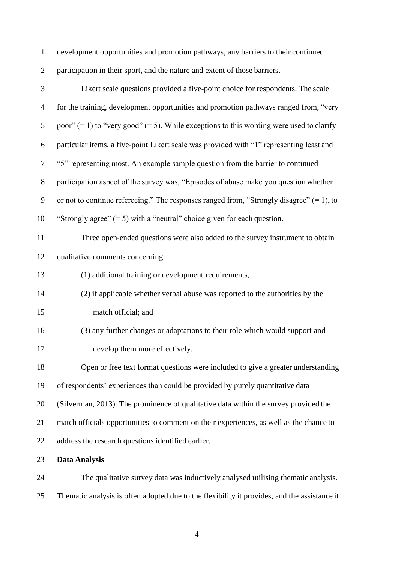development opportunities and promotion pathways, any barriers to their continued participation in their sport, and the nature and extent of those barriers.

| 3                        | Likert scale questions provided a five-point choice for respondents. The scale               |
|--------------------------|----------------------------------------------------------------------------------------------|
| $\overline{\mathcal{A}}$ | for the training, development opportunities and promotion pathways ranged from, "very        |
| 5                        | poor" $(= 1)$ to "very good" $(= 5)$ . While exceptions to this wording were used to clarify |
| 6                        | particular items, a five-point Likert scale was provided with "1" representing least and     |
| 7                        | "5" representing most. An example sample question from the barrier to continued              |
| $8\,$                    | participation aspect of the survey was, "Episodes of abuse make you question whether         |
| $\mathbf{9}$             | or not to continue refereeing." The responses ranged from, "Strongly disagree" $(= 1)$ , to  |
| 10                       | "Strongly agree" $(= 5)$ with a "neutral" choice given for each question.                    |
| 11                       | Three open-ended questions were also added to the survey instrument to obtain                |
| 12                       | qualitative comments concerning:                                                             |
| 13                       | (1) additional training or development requirements,                                         |
| 14                       | (2) if applicable whether verbal abuse was reported to the authorities by the                |
| 15                       | match official; and                                                                          |
| 16                       | (3) any further changes or adaptations to their role which would support and                 |
| 17                       | develop them more effectively.                                                               |
| 18                       | Open or free text format questions were included to give a greater understanding             |
| 19                       | of respondents' experiences than could be provided by purely quantitative data               |
| 20                       | (Silverman, 2013). The prominence of qualitative data within the survey provided the         |
| 21                       | match officials opportunities to comment on their experiences, as well as the chance to      |
| 22                       | address the research questions identified earlier.                                           |
| 23                       | <b>Data Analysis</b>                                                                         |
| $\bigcap$                | The qualitative quarter data wes inductively englyced utilians theme                         |

 The qualitative survey data was inductively analysed utilising thematic analysis. Thematic analysis is often adopted due to the flexibility it provides, and the assistance it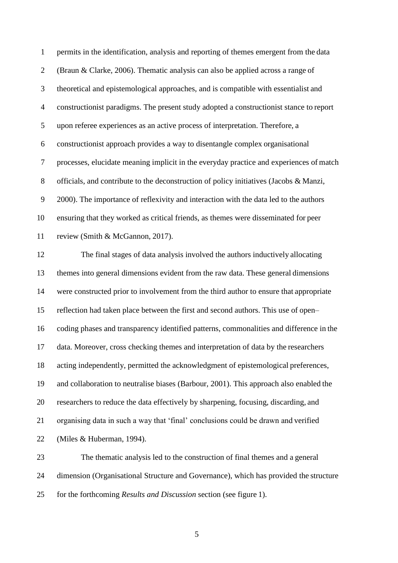permits in the identification, analysis and reporting of themes emergent from the data (Braun & Clarke, 2006). Thematic analysis can also be applied across a range of theoretical and epistemological approaches, and is compatible with essentialist and constructionist paradigms. The present study adopted a constructionist stance to report upon referee experiences as an active process of interpretation. Therefore, a constructionist approach provides a way to disentangle complex organisational processes, elucidate meaning implicit in the everyday practice and experiences of match officials, and contribute to the deconstruction of policy initiatives (Jacobs & Manzi, 2000). The importance of reflexivity and interaction with the data led to the authors ensuring that they worked as critical friends, as themes were disseminated for peer review (Smith & McGannon, 2017). The final stages of data analysis involved the authors inductively allocating themes into general dimensions evident from the raw data. These general dimensions were constructed prior to involvement from the third author to ensure that appropriate reflection had taken place between the first and second authors. This use of open– coding phases and transparency identified patterns, commonalities and difference in the data. Moreover, cross checking themes and interpretation of data by the researchers acting independently, permitted the acknowledgment of epistemological preferences, and collaboration to neutralise biases (Barbour, 2001). This approach also enabled the researchers to reduce the data effectively by sharpening, focusing, discarding, and organising data in such a way that 'final' conclusions could be drawn and verified (Miles & Huberman, 1994). The thematic analysis led to the construction of final themes and a general

 dimension (Organisational Structure and Governance), which has provided the structure for the forthcoming *Results and Discussion* section (see figure 1).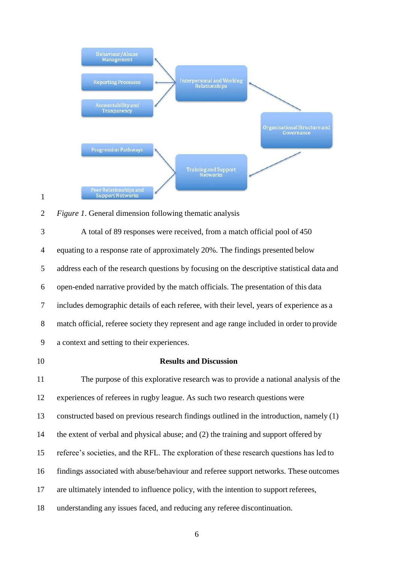

## *Figure 1*. General dimension following thematic analysis

 A total of 89 responses were received, from a match official pool of 450 equating to a response rate of approximately 20%. The findings presented below address each of the research questions by focusing on the descriptive statistical data and open-ended narrative provided by the match officials. The presentation of this data includes demographic details of each referee, with their level, years of experience as a match official, referee society they represent and age range included in order to provide a context and setting to their experiences.

## **Results and Discussion**

 The purpose of this explorative research was to provide a national analysis of the experiences of referees in rugby league. As such two research questions were constructed based on previous research findings outlined in the introduction, namely (1) the extent of verbal and physical abuse; and (2) the training and support offered by referee's societies, and the RFL. The exploration of these research questions has led to findings associated with abuse/behaviour and referee support networks. These outcomes are ultimately intended to influence policy, with the intention to support referees, understanding any issues faced, and reducing any referee discontinuation.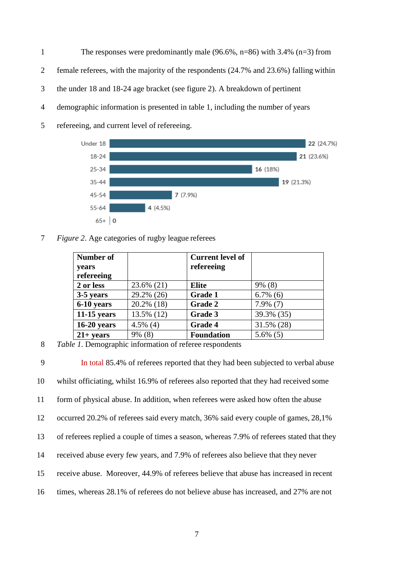1 The responses were predominantly male (96.6%, n=86) with 3.4% (n=3) from female referees, with the majority of the respondents (24.7% and 23.6%) falling within the under 18 and 18-24 age bracket (see figure 2). A breakdown of pertinent demographic information is presented in table 1, including the number of years refereeing, and current level of refereeing.



7 *Figure 2*. Age categories of rugby league referees

| Number of     |             | <b>Current level of</b> |             |
|---------------|-------------|-------------------------|-------------|
| years         |             | refereeing              |             |
| refereeing    |             |                         |             |
| 2 or less     | 23.6% (21)  | <b>Elite</b>            | $9\%$ (8)   |
| 3-5 years     | 29.2% (26)  | <b>Grade 1</b>          | $6.7\%$ (6) |
| 6-10 years    | 20.2% (18)  | <b>Grade 2</b>          | $7.9\%$ (7) |
| $11-15$ years | 13.5% (12)  | Grade 3                 | 39.3% (35)  |
| $16-20$ years | $4.5\%$ (4) | <b>Grade 4</b>          | 31.5% (28)  |
| $21+ years$   | 9% (8)      | <b>Foundation</b>       | $5.6\%$ (5) |

8 *Table 1*. Demographic information of referee respondents

 In total 85.4% of referees reported that they had been subjected to verbal abuse whilst officiating, whilst 16.9% of referees also reported that they had received some form of physical abuse. In addition, when referees were asked how often the abuse occurred 20.2% of referees said every match, 36% said every couple of games, 28,1% of referees replied a couple of times a season, whereas 7.9% of referees stated that they received abuse every few years, and 7.9% of referees also believe that they never receive abuse. Moreover, 44.9% of referees believe that abuse has increased in recent times, whereas 28.1% of referees do not believe abuse has increased, and 27% are not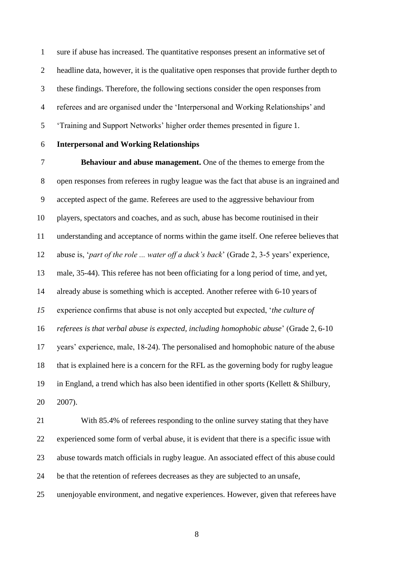sure if abuse has increased. The quantitative responses present an informative set of headline data, however, it is the qualitative open responses that provide further depth to these findings. Therefore, the following sections consider the open responsesfrom referees and are organised under the 'Interpersonal and Working Relationships' and 'Training and Support Networks' higher order themes presented in figure 1.

## **Interpersonal and Working Relationships**

 **Behaviour and abuse management.** One of the themes to emerge from the open responses from referees in rugby league was the fact that abuse is an ingrained and accepted aspect of the game. Referees are used to the aggressive behaviour from players, spectators and coaches, and as such, abuse has become routinised in their understanding and acceptance of norms within the game itself. One referee believesthat abuse is, '*part of the role ... water off a duck's back*' (Grade 2, 3-5 years' experience, male, 35-44). This referee has not been officiating for a long period of time, and yet, already abuse is something which is accepted. Another referee with 6-10 years of experience confirms that abuse is not only accepted but expected, '*the culture of referees is that verbal abuse is expected, including homophobic abuse*' (Grade 2, 6-10 years' experience, male, 18-24). The personalised and homophobic nature of the abuse that is explained here is a concern for the RFL as the governing body for rugby league 19 in England, a trend which has also been identified in other sports (Kellett  $&$  Shilbury, 2007).

 With 85.4% of referees responding to the online survey stating that they have experienced some form of verbal abuse, it is evident that there is a specific issue with abuse towards match officials in rugby league. An associated effect of this abuse could be that the retention of referees decreases as they are subjected to an unsafe, unenjoyable environment, and negative experiences. However, given that referees have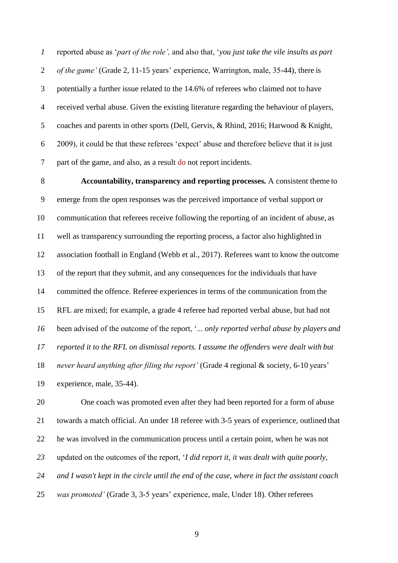reported abuse as '*part of the role',* and also that, '*you just take the vile insults as part of the game'* (Grade 2, 11-15 years' experience, Warrington, male, 35-44), there is potentially a further issue related to the 14.6% of referees who claimed not to have received verbal abuse. Given the existing literature regarding the behaviour of players, coaches and parents in other sports (Dell, Gervis, & Rhind, 2016; Harwood & Knight, 2009), it could be that these referees 'expect' abuse and therefore believe that it isjust part of the game, and also, as a result do not report incidents.

 **Accountability, transparency and reporting processes***.* A consistent theme to emerge from the open responses was the perceived importance of verbal support or communication that referees receive following the reporting of an incident of abuse, as well as transparency surrounding the reporting process, a factor also highlighted in association football in England (Webb et al., 2017). Referees want to know the outcome of the report that they submit, and any consequences for the individuals that have committed the offence. Referee experiences in terms of the communication from the RFL are mixed; for example, a grade 4 referee had reported verbal abuse, but had not been advised of the outcome of the report, '... *only reported verbal abuse by players and reported it to the RFL on dismissal reports. I assume the offenders were dealt with but never heard anything after filing the report'* (Grade 4 regional & society, 6-10 years' experience, male, 35-44).

 One coach was promoted even after they had been reported for a form of abuse towards a match official. An under 18 referee with 3-5 years of experience, outlined that he was involved in the communication process until a certain point, when he was not updated on the outcomes of the report, '*I did report it, it was dealt with quite poorly, and I wasn't kept in the circle until the end of the case, where in fact the assistant coach was promoted'* (Grade 3, 3-5 years' experience, male, Under 18). Other referees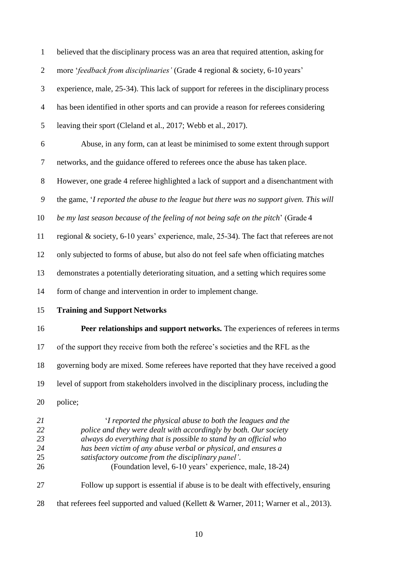| $\mathbf{1}$               | believed that the disciplinary process was an area that required attention, asking for                                                                                                                                                                                                                                      |
|----------------------------|-----------------------------------------------------------------------------------------------------------------------------------------------------------------------------------------------------------------------------------------------------------------------------------------------------------------------------|
| $\overline{2}$             | more 'feedback from disciplinaries' (Grade 4 regional & society, 6-10 years'                                                                                                                                                                                                                                                |
| 3                          | experience, male, 25-34). This lack of support for referees in the disciplinary process                                                                                                                                                                                                                                     |
| $\overline{4}$             | has been identified in other sports and can provide a reason for referees considering                                                                                                                                                                                                                                       |
| 5                          | leaving their sport (Cleland et al., 2017; Webb et al., 2017).                                                                                                                                                                                                                                                              |
| 6                          | Abuse, in any form, can at least be minimised to some extent through support                                                                                                                                                                                                                                                |
| $\tau$                     | networks, and the guidance offered to referees once the abuse has taken place.                                                                                                                                                                                                                                              |
| $8\,$                      | However, one grade 4 referee highlighted a lack of support and a disenchantment with                                                                                                                                                                                                                                        |
| $\boldsymbol{9}$           | the game, 'I reported the abuse to the league but there was no support given. This will                                                                                                                                                                                                                                     |
| 10                         | be my last season because of the feeling of not being safe on the pitch' (Grade 4                                                                                                                                                                                                                                           |
| 11                         | regional & society, 6-10 years' experience, male, 25-34). The fact that referees are not                                                                                                                                                                                                                                    |
| 12                         | only subjected to forms of abuse, but also do not feel safe when officiating matches                                                                                                                                                                                                                                        |
| 13                         | demonstrates a potentially deteriorating situation, and a setting which requires some                                                                                                                                                                                                                                       |
| 14                         | form of change and intervention in order to implement change.                                                                                                                                                                                                                                                               |
| 15                         | <b>Training and Support Networks</b>                                                                                                                                                                                                                                                                                        |
| 16                         | Peer relationships and support networks. The experiences of referees in terms                                                                                                                                                                                                                                               |
| 17                         | of the support they receive from both the referee's societies and the RFL as the                                                                                                                                                                                                                                            |
| 18                         | governing body are mixed. Some referees have reported that they have received a good                                                                                                                                                                                                                                        |
| 19                         | level of support from stakeholders involved in the disciplinary process, including the                                                                                                                                                                                                                                      |
| 20                         | police;                                                                                                                                                                                                                                                                                                                     |
| 21<br>22<br>23<br>24<br>25 | 'I reported the physical abuse to both the leagues and the<br>police and they were dealt with accordingly by both. Our society<br>always do everything that is possible to stand by an official who<br>has been victim of any abuse verbal or physical, and ensures a<br>satisfactory outcome from the disciplinary panel'. |
| 26<br>27                   | (Foundation level, 6-10 years' experience, male, 18-24)<br>Follow up support is essential if abuse is to be dealt with effectively, ensuring                                                                                                                                                                                |
| 28                         | that referees feel supported and valued (Kellett & Warner, 2011; Warner et al., 2013).                                                                                                                                                                                                                                      |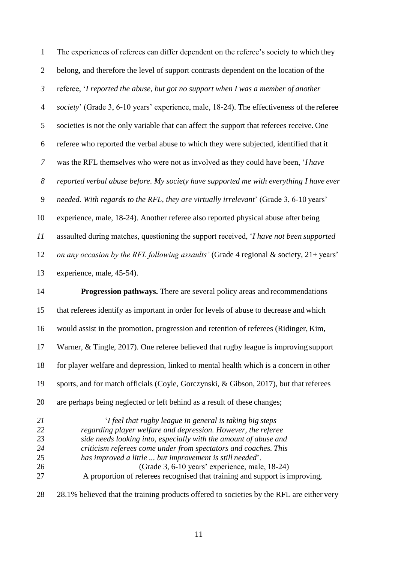| $\mathbf{1}$                           | The experiences of referees can differ dependent on the referee's society to which they                                                                                                                                                                                                                                                                                                                                                                       |
|----------------------------------------|---------------------------------------------------------------------------------------------------------------------------------------------------------------------------------------------------------------------------------------------------------------------------------------------------------------------------------------------------------------------------------------------------------------------------------------------------------------|
| $\overline{2}$                         | belong, and therefore the level of support contrasts dependent on the location of the                                                                                                                                                                                                                                                                                                                                                                         |
| $\mathfrak{Z}$                         | referee, 'I reported the abuse, but got no support when I was a member of another                                                                                                                                                                                                                                                                                                                                                                             |
| $\overline{4}$                         | society' (Grade 3, 6-10 years' experience, male, 18-24). The effectiveness of the referee                                                                                                                                                                                                                                                                                                                                                                     |
| 5                                      | societies is not the only variable that can affect the support that referees receive. One                                                                                                                                                                                                                                                                                                                                                                     |
| $\boldsymbol{6}$                       | referee who reported the verbal abuse to which they were subjected, identified that it                                                                                                                                                                                                                                                                                                                                                                        |
| $\overline{7}$                         | was the RFL themselves who were not as involved as they could have been, 'I have                                                                                                                                                                                                                                                                                                                                                                              |
| $\boldsymbol{8}$                       | reported verbal abuse before. My society have supported me with everything I have ever                                                                                                                                                                                                                                                                                                                                                                        |
| 9                                      | needed. With regards to the RFL, they are virtually irrelevant' (Grade 3, 6-10 years'                                                                                                                                                                                                                                                                                                                                                                         |
| 10                                     | experience, male, 18-24). Another referee also reported physical abuse after being                                                                                                                                                                                                                                                                                                                                                                            |
| 11                                     | assaulted during matches, questioning the support received, 'I have not been supported                                                                                                                                                                                                                                                                                                                                                                        |
| 12                                     | on any occasion by the RFL following assaults' (Grade 4 regional & society, 21+ years'                                                                                                                                                                                                                                                                                                                                                                        |
| 13                                     | experience, male, 45-54).                                                                                                                                                                                                                                                                                                                                                                                                                                     |
| 14                                     | <b>Progression pathways.</b> There are several policy areas and recommendations                                                                                                                                                                                                                                                                                                                                                                               |
| 15                                     | that referees identify as important in order for levels of abuse to decrease and which                                                                                                                                                                                                                                                                                                                                                                        |
| 16                                     | would assist in the promotion, progression and retention of referees (Ridinger, Kim,                                                                                                                                                                                                                                                                                                                                                                          |
| 17                                     | Warner, & Tingle, 2017). One referee believed that rugby league is improving support                                                                                                                                                                                                                                                                                                                                                                          |
| 18                                     | for player welfare and depression, linked to mental health which is a concern in other                                                                                                                                                                                                                                                                                                                                                                        |
| 19                                     | sports, and for match officials (Coyle, Gorczynski, & Gibson, 2017), but that referees                                                                                                                                                                                                                                                                                                                                                                        |
| 20                                     | are perhaps being neglected or left behind as a result of these changes;                                                                                                                                                                                                                                                                                                                                                                                      |
| 21<br>22<br>23<br>24<br>25<br>26<br>27 | 'I feel that rugby league in general is taking big steps<br>regarding player welfare and depression. However, the referee<br>side needs looking into, especially with the amount of abuse and<br>criticism referees come under from spectators and coaches. This<br>has improved a little  but improvement is still needed'.<br>(Grade 3, 6-10 years' experience, male, 18-24)<br>A proportion of referees recognised that training and support is improving, |
| 28                                     | 28.1% believed that the training products offered to societies by the RFL are either very                                                                                                                                                                                                                                                                                                                                                                     |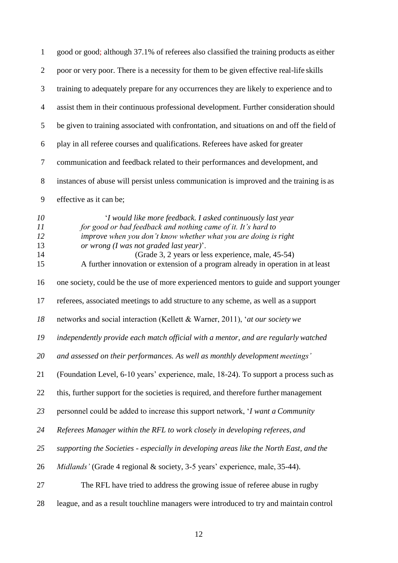| $\mathbf{1}$                     | good or good; although 37.1% of referees also classified the training products as either                                                                                                                                                                                                                                                                                            |
|----------------------------------|-------------------------------------------------------------------------------------------------------------------------------------------------------------------------------------------------------------------------------------------------------------------------------------------------------------------------------------------------------------------------------------|
| $\overline{2}$                   | poor or very poor. There is a necessity for them to be given effective real-life skills                                                                                                                                                                                                                                                                                             |
| 3                                | training to adequately prepare for any occurrences they are likely to experience and to                                                                                                                                                                                                                                                                                             |
| $\overline{4}$                   | assist them in their continuous professional development. Further consideration should                                                                                                                                                                                                                                                                                              |
| 5                                | be given to training associated with confrontation, and situations on and off the field of                                                                                                                                                                                                                                                                                          |
| 6                                | play in all referee courses and qualifications. Referees have asked for greater                                                                                                                                                                                                                                                                                                     |
| $\tau$                           | communication and feedback related to their performances and development, and                                                                                                                                                                                                                                                                                                       |
| $8\,$                            | instances of abuse will persist unless communication is improved and the training is as                                                                                                                                                                                                                                                                                             |
| 9                                | effective as it can be;                                                                                                                                                                                                                                                                                                                                                             |
| 10<br>11<br>12<br>13<br>14<br>15 | 'I would like more feedback. I asked continuously last year<br>for good or bad feedback and nothing came of it. It's hard to<br>improve when you don't know whether what you are doing is right<br>or wrong (I was not graded last year)'.<br>(Grade 3, 2 years or less experience, male, 45-54)<br>A further innovation or extension of a program already in operation in at least |
| 16                               | one society, could be the use of more experienced mentors to guide and support younger                                                                                                                                                                                                                                                                                              |
| 17                               | referees, associated meetings to add structure to any scheme, as well as a support                                                                                                                                                                                                                                                                                                  |
| 18                               | networks and social interaction (Kellett & Warner, 2011), 'at our society we                                                                                                                                                                                                                                                                                                        |
| 19                               | independently provide each match official with a mentor, and are regularly watched                                                                                                                                                                                                                                                                                                  |
| 20                               | and assessed on their performances. As well as monthly development meetings'                                                                                                                                                                                                                                                                                                        |
| 21                               | (Foundation Level, 6-10 years' experience, male, 18-24). To support a process such as                                                                                                                                                                                                                                                                                               |
| 22                               | this, further support for the societies is required, and therefore further management                                                                                                                                                                                                                                                                                               |
| 23                               | personnel could be added to increase this support network, 'I want a Community                                                                                                                                                                                                                                                                                                      |
| 24                               | Referees Manager within the RFL to work closely in developing referees, and                                                                                                                                                                                                                                                                                                         |
| 25                               | supporting the Societies - especially in developing areas like the North East, and the                                                                                                                                                                                                                                                                                              |
| 26                               | Midlands' (Grade 4 regional & society, 3-5 years' experience, male, 35-44).                                                                                                                                                                                                                                                                                                         |
| 27                               | The RFL have tried to address the growing issue of referee abuse in rugby                                                                                                                                                                                                                                                                                                           |
| 28                               | league, and as a result touchline managers were introduced to try and maintain control                                                                                                                                                                                                                                                                                              |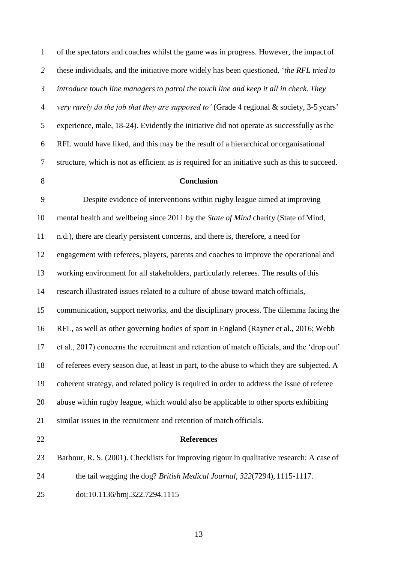| $\mathbf{1}$   | of the spectators and coaches whilst the game was in progress. However, the impact of          |
|----------------|------------------------------------------------------------------------------------------------|
| $\overline{2}$ | these individuals, and the initiative more widely has been questioned, 'the RFL tried to       |
| $\mathfrak{Z}$ | introduce touch line managers to patrol the touch line and keep it all in check. They          |
| $\overline{4}$ | very rarely do the job that they are supposed to' (Grade 4 regional & society, 3-5 years'      |
| 5              | experience, male, 18-24). Evidently the initiative did not operate as successfully as the      |
| 6              | RFL would have liked, and this may be the result of a hierarchical or organisational           |
| $\tau$         | structure, which is not as efficient as is required for an initiative such as this to succeed. |
| $8\,$          | Conclusion                                                                                     |
| 9              | Despite evidence of interventions within rugby league aimed at improving                       |
| 10             | mental health and wellbeing since 2011 by the State of Mind charity (State of Mind,            |
| 11             | n.d.), there are clearly persistent concerns, and there is, therefore, a need for              |
| 12             | engagement with referees, players, parents and coaches to improve the operational and          |
| 13             | working environment for all stakeholders, particularly referees. The results of this           |
| 14             | research illustrated issues related to a culture of abuse toward match officials,              |
| 15             | communication, support networks, and the disciplinary process. The dilemma facing the          |
| 16             | RFL, as well as other governing bodies of sport in England (Rayner et al., 2016; Webb          |
| 17             | et al., 2017) concerns the recruitment and retention of match officials, and the 'drop out'    |
| 18             | of referees every season due, at least in part, to the abuse to which they are subjected. A    |
| 19             | coherent strategy, and related policy is required in order to address the issue of referee     |
| 20             | abuse within rugby league, which would also be applicable to other sports exhibiting           |
| 21             | similar issues in the recruitment and retention of match officials.                            |
| 22             | <b>References</b>                                                                              |
| 23             | Barbour, R. S. (2001). Checklists for improving rigour in qualitative research: A case of      |
| 24             | the tail wagging the dog? British Medical Journal, 322(7294), 1115-1117.                       |
| 25             | doi:10.1136/bmj.322.7294.1115                                                                  |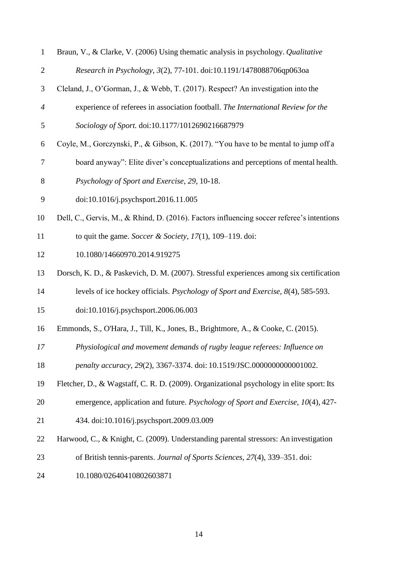| $\mathbf{1}$     | Braun, V., & Clarke, V. (2006) Using thematic analysis in psychology. Qualitative         |
|------------------|-------------------------------------------------------------------------------------------|
| $\mathbf{2}$     | Research in Psychology, 3(2), 77-101. doi:10.1191/1478088706qp063oa                       |
| 3                | Cleland, J., O'Gorman, J., & Webb, T. (2017). Respect? An investigation into the          |
| $\boldsymbol{4}$ | experience of referees in association football. The International Review for the          |
| 5                | Sociology of Sport. doi:10.1177/1012690216687979                                          |
| 6                | Coyle, M., Gorczynski, P., & Gibson, K. (2017). "You have to be mental to jump off a      |
| 7                | board anyway": Elite diver's conceptualizations and perceptions of mental health.         |
| 8                | Psychology of Sport and Exercise, 29, 10-18.                                              |
| 9                | doi:10.1016/j.psychsport.2016.11.005                                                      |
| 10               | Dell, C., Gervis, M., & Rhind, D. (2016). Factors influencing soccer referee's intentions |
| 11               | to quit the game. Soccer & Society, $17(1)$ , $109-119$ . doi:                            |
| 12               | 10.1080/14660970.2014.919275                                                              |
| 13               | Dorsch, K. D., & Paskevich, D. M. (2007). Stressful experiences among six certification   |
| 14               | levels of ice hockey officials. Psychology of Sport and Exercise, 8(4), 585-593.          |
| 15               | doi:10.1016/j.psychsport.2006.06.003                                                      |
| 16               | Emmonds, S., O'Hara, J., Till, K., Jones, B., Brightmore, A., & Cooke, C. (2015).         |
| 17               | Physiological and movement demands of rugby league referees: Influence on                 |
| 18               | penalty accuracy, 29(2), 3367-3374. doi: 10.1519/JSC.0000000000001002.                    |
| 19               | Fletcher, D., & Wagstaff, C. R. D. (2009). Organizational psychology in elite sport: Its  |
| 20               | emergence, application and future. Psychology of Sport and Exercise, 10(4), 427-          |
| 21               | 434. doi:10.1016/j.psychsport.2009.03.009                                                 |
| 22               | Harwood, C., & Knight, C. (2009). Understanding parental stressors: An investigation      |
| 23               | of British tennis-parents. Journal of Sports Sciences, 27(4), 339–351. doi:               |
| 24               | 10.1080/02640410802603871                                                                 |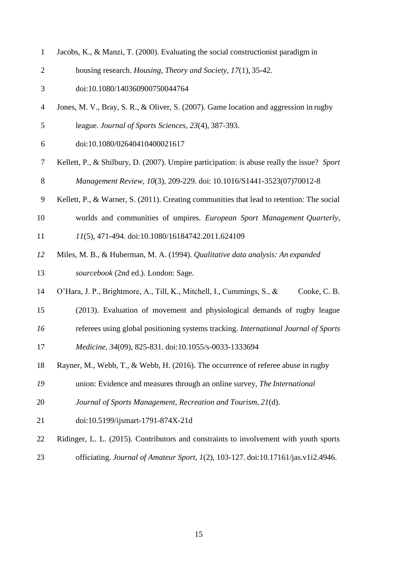| $\mathbf{1}$   | Jacobs, K., & Manzi, T. (2000). Evaluating the social construction ist paradigm in         |
|----------------|--------------------------------------------------------------------------------------------|
| $\overline{2}$ | housing research. Housing, Theory and Society, 17(1), 35-42.                               |
| 3              | doi:10.1080/140360900750044764                                                             |
| 4              | Jones, M. V., Bray, S. R., & Oliver, S. (2007). Game location and aggression in rugby      |
| 5              | league. Journal of Sports Sciences, 23(4), 387-393.                                        |
| 6              | doi:10.1080/02640410400021617                                                              |
| 7              | Kellett, P., & Shilbury, D. (2007). Umpire participation: is abuse really the issue? Sport |
| 8              | Management Review, 10(3), 209-229. doi: 10.1016/S1441-3523(07)70012-8                      |
| 9              | Kellett, P., & Warner, S. (2011). Creating communities that lead to retention: The social  |
| 10             | worlds and communities of umpires. European Sport Management Quarterly,                    |
| 11             | 11(5), 471-494. doi:10.1080/16184742.2011.624109                                           |
| 12             | Miles, M. B., & Huberman, M. A. (1994). Qualitative data analysis: An expanded             |
| 13             | sourcebook (2nd ed.). London: Sage.                                                        |
| 14             | O'Hara, J. P., Brightmore, A., Till, K., Mitchell, I., Cummings, S., &<br>Cooke, C. B.     |
| 15             | (2013). Evaluation of movement and physiological demands of rugby league                   |
| 16             | referees using global positioning systems tracking. International Journal of Sports        |
| 17             | Medicine, 34(09), 825-831. doi:10.1055/s-0033-1333694                                      |
| 18             | Rayner, M., Webb, T., & Webb, H. (2016). The occurrence of referee abuse in rugby          |
| 19             | union: Evidence and measures through an online survey, The International                   |
| 20             | Journal of Sports Management, Recreation and Tourism, 21(d).                               |
| 21             | doi:10.5199/ijsmart-1791-874X-21d                                                          |
| 22             | Ridinger, L. L. (2015). Contributors and constraints to involvement with youth sports      |
| 23             | officiating. Journal of Amateur Sport, 1(2), 103-127. doi:10.17161/jas.v1i2.4946.          |